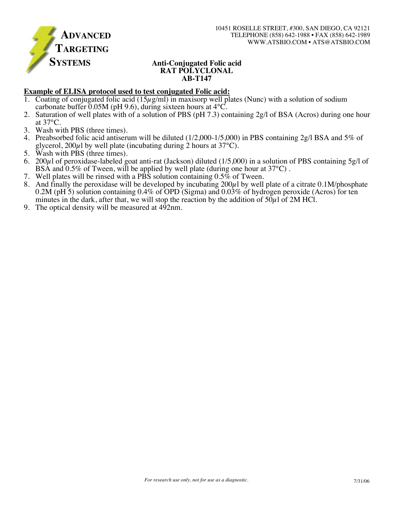

## **Anti-Conjugated Folic acid RAT POLYCLONAL AB-T147**

## **Example of ELISA protocol used to test conjugated Folic acid:**

- 1. Coating of conjugated folic acid (15 $\mu$ g/ml) in maxisorp well plates (Nunc) with a solution of sodium carbonate buffer 0.05M (pH 9.6), during sixteen hours at 4°C.
- 2. Saturation of well plates with of a solution of PBS (pH 7.3) containing 2g/l of BSA (Acros) during one hour at 37°C.
- 3. Wash with PBS (three times).
- 4. Preabsorbed folic acid antiserum will be diluted (1/2,000-1/5,000) in PBS containing 2g/l BSA and 5% of glycerol,  $200\mu$ l by well plate (incubating during 2 hours at  $37^{\circ}$ C).
- 5. Wash with PBS (three times).
- 6. 200µl of peroxidase-labeled goat anti-rat (Jackson) diluted (1/5,000) in a solution of PBS containing 5g/l of BSA and 0.5% of Tween, will be applied by well plate (during one hour at 37°C).
- 7. Well plates will be rinsed with a PBS solution containing 0.5% of Tween.
- 8. And finally the peroxidase will be developed by incubating  $200\mu$ l by well plate of a citrate 0.1M/phosphate 0.2M (pH 5) solution containing 0.4% of OPD (Sigma) and 0.03% of hydrogen peroxide (Acros) for ten minutes in the dark, after that, we will stop the reaction by the addition of  $50\mu$ l of 2M HCl.
- 9. The optical density will be measured at 492nm.